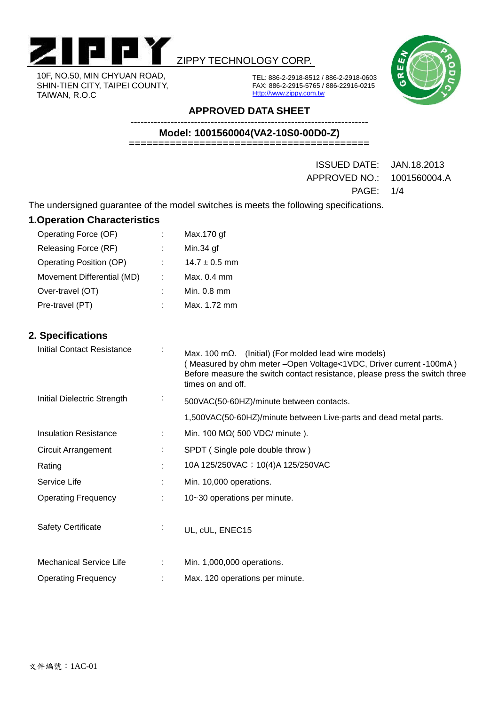

#### 10F, NO.50, MIN CHYUAN ROAD, SHIN-TIEN CITY, TAIPEI COUNTY, TAIWAN, R.O.C

### ZIPPY TECHNOLOGY CORP.

TEL: 886-2-2918-8512 / 886-2-2918-0603 FAX: 886-2-2915-5765 / 886-22916-0215 Http://www.zippy.com.tw



**APPROVED DATA SHEET**

**Model: 1001560004(VA2-10S0-00D0-Z)**

-----------------------------------------------------------------------

=========================================

ISSUED DATE: JAN.18.2013 APPROVED NO.: 1001560004.A PAGE: 1/4

The undersigned guarantee of the model switches is meets the following specifications.

| <b>1. Operation Characteristics</b> |   |                   |  |  |  |  |  |  |
|-------------------------------------|---|-------------------|--|--|--|--|--|--|
| Operating Force (OF)                | ÷ | Max.170 gf        |  |  |  |  |  |  |
| Releasing Force (RF)                |   | Min.34 gf         |  |  |  |  |  |  |
| Operating Position (OP)             |   | $14.7 \pm 0.5$ mm |  |  |  |  |  |  |
| Movement Differential (MD)          |   | Max. $0.4$ mm     |  |  |  |  |  |  |
| Over-travel (OT)                    |   | Min. 0.8 mm       |  |  |  |  |  |  |
| Pre-travel (PT)                     |   | Max. 1.72 mm      |  |  |  |  |  |  |
|                                     |   |                   |  |  |  |  |  |  |
|                                     |   |                   |  |  |  |  |  |  |

### **2. Specifications**

| <b>Initial Contact Resistance</b> |                | Max. 100 m $\Omega$ . (Initial) (For molded lead wire models)<br>(Measured by ohm meter - Open Voltage < 1 VDC, Driver current - 100mA)<br>Before measure the switch contact resistance, please press the switch three<br>times on and off. |  |  |  |
|-----------------------------------|----------------|---------------------------------------------------------------------------------------------------------------------------------------------------------------------------------------------------------------------------------------------|--|--|--|
| Initial Dielectric Strength       | $\blacksquare$ | 500VAC(50-60HZ)/minute between contacts.                                                                                                                                                                                                    |  |  |  |
|                                   |                | 1,500VAC(50-60HZ)/minute between Live-parts and dead metal parts.                                                                                                                                                                           |  |  |  |
| <b>Insulation Resistance</b>      | ÷              | Min. 100 M $\Omega$ (500 VDC/ minute).                                                                                                                                                                                                      |  |  |  |
| <b>Circuit Arrangement</b>        |                | SPDT (Single pole double throw)                                                                                                                                                                                                             |  |  |  |
| Rating                            | $\bullet$      | 10A 125/250VAC ; 10(4)A 125/250VAC                                                                                                                                                                                                          |  |  |  |
| Service Life                      |                | Min. 10,000 operations.                                                                                                                                                                                                                     |  |  |  |
| <b>Operating Frequency</b>        |                | 10~30 operations per minute.                                                                                                                                                                                                                |  |  |  |
| <b>Safety Certificate</b>         | $\bullet$      | UL, cUL, ENEC15                                                                                                                                                                                                                             |  |  |  |
| <b>Mechanical Service Life</b>    |                | Min. 1,000,000 operations.                                                                                                                                                                                                                  |  |  |  |
| <b>Operating Frequency</b>        |                | Max. 120 operations per minute.                                                                                                                                                                                                             |  |  |  |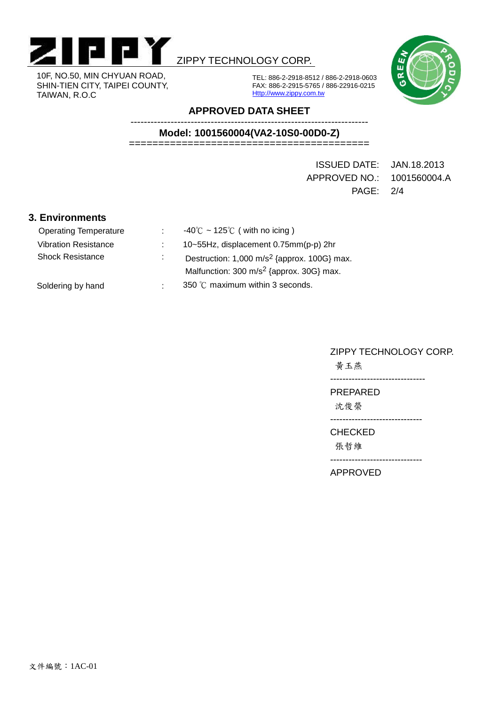

10F, NO.50, MIN CHYUAN ROAD, SHIN-TIEN CITY, TAIPEI COUNTY, TAIWAN, R.O.C

## ZIPPY TECHNOLOGY CORP.



TEL: 886-2-2918-8512 / 886-2-2918-0603 FAX: 886-2-2915-5765 / 886-22916-0215 Http://www.zippy.com.tw

#### **APPROVED DATA SHEET**

----------------------------------------------------------------------- **Model: 1001560004(VA2-10S0-00D0-Z)**

=========================================

ISSUED DATE: JAN.18.2013 APPROVED NO.: 1001560004.A PAGE: 2/4

#### **3. Environments**

| <b>Operating Temperature</b> |    | $-40^{\circ}$ C ~ 125°C (with no icing)                                                                        |
|------------------------------|----|----------------------------------------------------------------------------------------------------------------|
| <b>Vibration Resistance</b>  |    | 10~55Hz, displacement 0.75mm(p-p) 2hr                                                                          |
| <b>Shock Resistance</b>      | ä. | Destruction: $1,000 \text{ m/s}^2$ {approx. 100G} max.<br>Malfunction: 300 m/s <sup>2</sup> {approx. 30G} max. |
| Soldering by hand            | ÷  | 350 °C maximum within 3 seconds.                                                                               |

#### ZIPPY TECHNOLOGY CORP.

黃玉燕

-------------------------------

PREPARED

沈俊榮

------------------------------

CHECKED

張哲維

------------------------------

APPROVED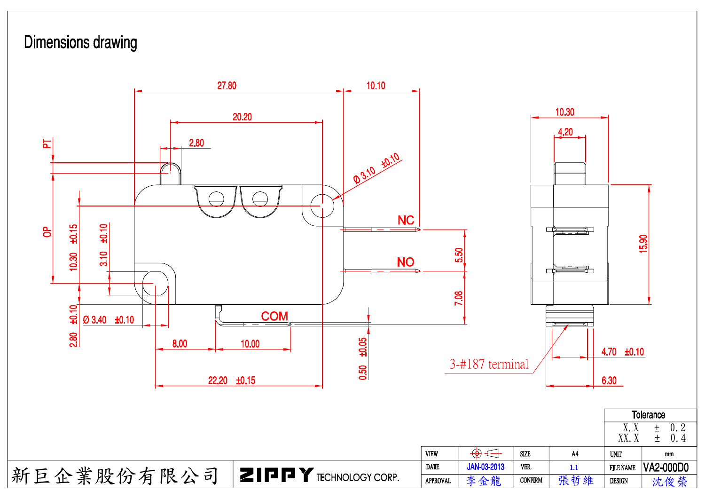# <span id="page-2-0"></span>**Dimensions drawing**